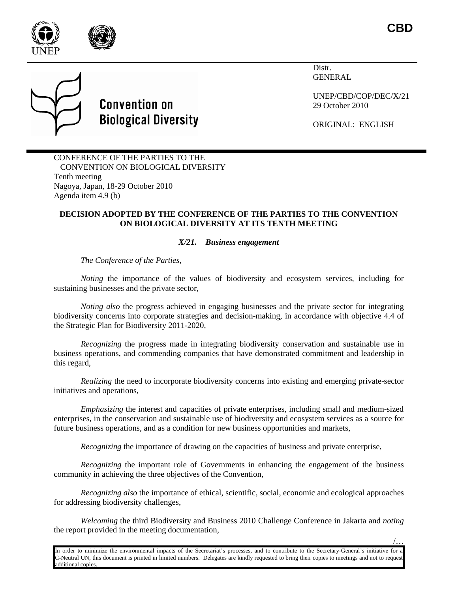

**CBD**

/…

Distr. **GENERAL** 

UNEP/CBD/COP/DEC/X/21 29 October 2010

ORIGINAL: ENGLISH

CONFERENCE OF THE PARTIES TO THE CONVENTION ON BIOLOGICAL DIVERSITY Tenth meeting Nagoya, Japan, 18-29 October 2010 Agenda item 4.9 (b)

**Convention on** 

**Biological Diversity** 

## **DECISION ADOPTED BY THE CONFERENCE OF THE PARTIES TO THE CONVENTION ON BIOLOGICAL DIVERSITY AT ITS TENTH MEETING**

## *X/21. Business engagement*

*The Conference of the Parties,*

*Noting* the importance of the values of biodiversity and ecosystem services, including for sustaining businesses and the private sector,

*Noting also* the progress achieved in engaging businesses and the private sector for integrating biodiversity concerns into corporate strategies and decision-making, in accordance with objective 4.4 of the Strategic Plan for Biodiversity 2011-2020,

*Recognizing* the progress made in integrating biodiversity conservation and sustainable use in business operations, and commending companies that have demonstrated commitment and leadership in this regard,

*Realizing* the need to incorporate biodiversity concerns into existing and emerging private-sector initiatives and operations,

*Emphasizing* the interest and capacities of private enterprises, including small and medium-sized enterprises, in the conservation and sustainable use of biodiversity and ecosystem services as a source for future business operations, and as a condition for new business opportunities and markets,

*Recognizing* the importance of drawing on the capacities of business and private enterprise,

*Recognizing* the important role of Governments in enhancing the engagement of the business community in achieving the three objectives of the Convention,

*Recognizing also* the importance of ethical, scientific, social, economic and ecological approaches for addressing biodiversity challenges,

*Welcoming* the third Biodiversity and Business 2010 Challenge Conference in Jakarta and *noting* the report provided in the meeting documentation,

In order to minimize the environmental impacts of the Secretariat's processes, and to contribute to the Secretary-General's initiative for a C-Neutral UN, this document is printed in limited numbers. Delegates are kindly requested to bring their copies to meetings and not to request dditional copies.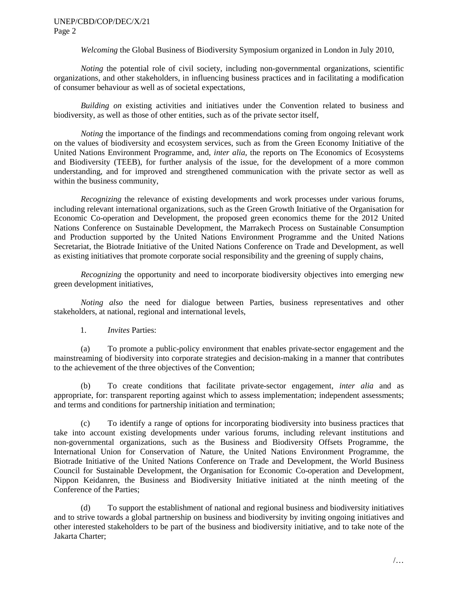## UNEP/CBD/COP/DEC/X/21 Page 2

*Welcoming* the Global Business of Biodiversity Symposium organized in London in July 2010,

*Noting* the potential role of civil society, including non-governmental organizations, scientific organizations, and other stakeholders, in influencing business practices and in facilitating a modification of consumer behaviour as well as of societal expectations,

*Building on* existing activities and initiatives under the Convention related to business and biodiversity, as well as those of other entities, such as of the private sector itself,

*Noting* the importance of the findings and recommendations coming from ongoing relevant work on the values of biodiversity and ecosystem services, such as from the Green Economy Initiative of the United Nations Environment Programme, and, *inter alia*, the reports on The Economics of Ecosystems and Biodiversity (TEEB), for further analysis of the issue, for the development of a more common understanding, and for improved and strengthened communication with the private sector as well as within the business community,

*Recognizing* the relevance of existing developments and work processes under various forums, including relevant international organizations, such as the Green Growth Initiative of the Organisation for Economic Co-operation and Development, the proposed green economics theme for the 2012 United Nations Conference on Sustainable Development, the Marrakech Process on Sustainable Consumption and Production supported by the United Nations Environment Programme and the United Nations Secretariat, the Biotrade Initiative of the United Nations Conference on Trade and Development, as well as existing initiatives that promote corporate social responsibility and the greening of supply chains,

*Recognizing* the opportunity and need to incorporate biodiversity objectives into emerging new green development initiatives,

*Noting also* the need for dialogue between Parties, business representatives and other stakeholders, at national, regional and international levels,

1. *Invites* Parties:

(a) To promote a public-policy environment that enables private-sector engagement and the mainstreaming of biodiversity into corporate strategies and decision-making in a manner that contributes to the achievement of the three objectives of the Convention;

(b) To create conditions that facilitate private-sector engagement, *inter alia* and as appropriate, for: transparent reporting against which to assess implementation; independent assessments; and terms and conditions for partnership initiation and termination;

(c) To identify a range of options for incorporating biodiversity into business practices that take into account existing developments under various forums, including relevant institutions and non-governmental organizations, such as the Business and Biodiversity Offsets Programme, the International Union for Conservation of Nature, the United Nations Environment Programme, the Biotrade Initiative of the United Nations Conference on Trade and Development, the World Business Council for Sustainable Development, the Organisation for Economic Co-operation and Development, Nippon Keidanren, the Business and Biodiversity Initiative initiated at the ninth meeting of the Conference of the Parties;

(d) To support the establishment of national and regional business and biodiversity initiatives and to strive towards a global partnership on business and biodiversity by inviting ongoing initiatives and other interested stakeholders to be part of the business and biodiversity initiative, and to take note of the Jakarta Charter;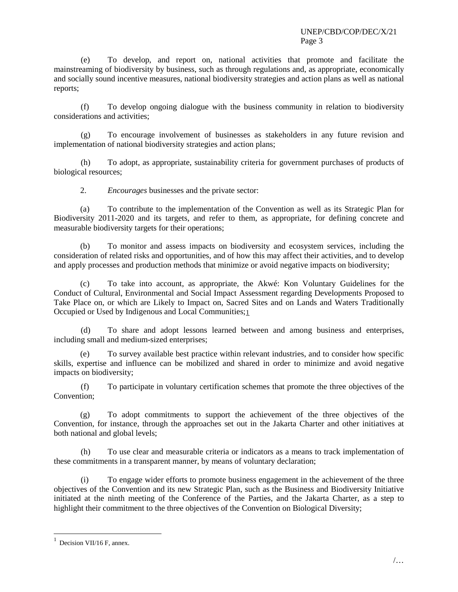(e) To develop, and report on, national activities that promote and facilitate the mainstreaming of biodiversity by business, such as through regulations and, as appropriate, economically and socially sound incentive measures, national biodiversity strategies and action plans as well as national reports;

(f) To develop ongoing dialogue with the business community in relation to biodiversity considerations and activities;

(g) To encourage involvement of businesses as stakeholders in any future revision and implementation of national biodiversity strategies and action plans;

(h) To adopt, as appropriate, sustainability criteria for government purchases of products of biological resources;

2. *Encourages* businesses and the private sector:

(a) To contribute to the implementation of the Convention as well as its Strategic Plan for Biodiversity 2011-2020 and its targets, and refer to them, as appropriate, for defining concrete and measurable biodiversity targets for their operations;

(b) To monitor and assess impacts on biodiversity and ecosystem services, including the consideration of related risks and opportunities, and of how this may affect their activities, and to develop and apply processes and production methods that minimize or avoid negative impacts on biodiversity;

(c) To take into account, as appropriate, the Akwé: Kon Voluntary Guidelines for the Conduct of Cultural, Environmental and Social Impact Assessment regarding Developments Proposed to Take Place on, or which are Likely to Impact on, Sacred Sites and on Lands and Waters Traditionally Occupied or Used by Indigenous and Local Communities;[1](#page-2-0)

(d) To share and adopt lessons learned between and among business and enterprises, including small and medium-sized enterprises;

(e) To survey available best practice within relevant industries, and to consider how specific skills, expertise and influence can be mobilized and shared in order to minimize and avoid negative impacts on biodiversity;

(f) To participate in voluntary certification schemes that promote the three objectives of the Convention;

(g) To adopt commitments to support the achievement of the three objectives of the Convention, for instance, through the approaches set out in the Jakarta Charter and other initiatives at both national and global levels;

(h) To use clear and measurable criteria or indicators as a means to track implementation of these commitments in a transparent manner, by means of voluntary declaration;

(i) To engage wider efforts to promote business engagement in the achievement of the three objectives of the Convention and its new Strategic Plan, such as the Business and Biodiversity Initiative initiated at the ninth meeting of the Conference of the Parties, and the Jakarta Charter, as a step to highlight their commitment to the three objectives of the Convention on Biological Diversity;

<span id="page-2-0"></span> $1$  Decision VII/16 F, annex.